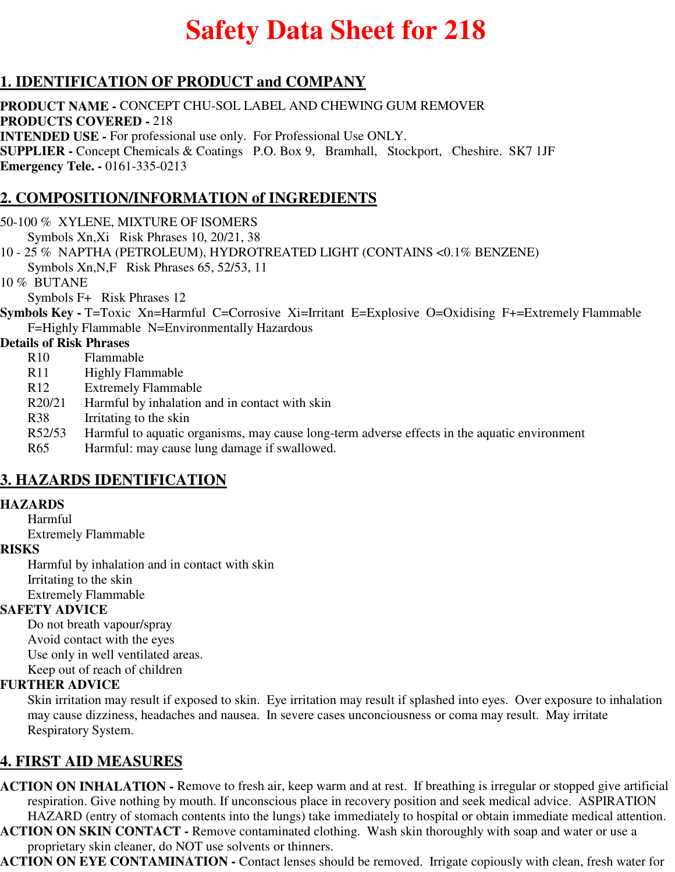# **Safety Data Sheet for 218**

## **1. IDENTIFICATION OF PRODUCT and COMPANY**

**PRODUCT NAME -** CONCEPT CHU-SOL LABEL AND CHEWING GUM REMOVER **PRODUCTS COVERED -** 218 **INTENDED USE -** For professional use only. For Professional Use ONLY. **SUPPLIER -** Concept Chemicals & Coatings P.O. Box 9, Bramhall, Stockport, Cheshire. SK7 1JF **Emergency Tele. -** 0161-335-0213

## **2. COMPOSITION/INFORMATION of INGREDIENTS**

50-100 % XYLENE, MIXTURE OF ISOMERS

Symbols Xn,Xi Risk Phrases 10, 20/21, 38

10 - 25 % NAPTHA (PETROLEUM), HYDROTREATED LIGHT (CONTAINS <0.1% BENZENE) Symbols Xn,N,F Risk Phrases 65, 52/53, 11

10 % BUTANE

Symbols F+ Risk Phrases 12

**Symbols Key -** T=Toxic Xn=Harmful C=Corrosive Xi=Irritant E=Explosive O=Oxidising F+=Extremely Flammable F=Highly Flammable N=Environmentally Hazardous

#### **Details of Risk Phrases**

- R10 Flammable
- R11 Highly Flammable
- R12 Extremely Flammable
- R20/21 Harmful by inhalation and in contact with skin
- R38 Irritating to the skin
- R52/53 Harmful to aquatic organisms, may cause long-term adverse effects in the aquatic environment

R65 Harmful: may cause lung damage if swallowed.

## **3. HAZARDS IDENTIFICATION**

#### **HAZARDS**

Harmful Extremely Flammable

#### **RISKS**

Harmful by inhalation and in contact with skin Irritating to the skin Extremely Flammable

#### **SAFETY ADVICE**

Do not breath vapour/spray Avoid contact with the eyes Use only in well ventilated areas. Keep out of reach of children

#### **FURTHER ADVICE**

Skin irritation may result if exposed to skin. Eye irritation may result if splashed into eyes. Over exposure to inhalation may cause dizziness, headaches and nausea. In severe cases unconciousness or coma may result. May irritate Respiratory System.

## **4. FIRST AID MEASURES**

**ACTION ON INHALATION -** Remove to fresh air, keep warm and at rest. If breathing is irregular or stopped give artificial respiration. Give nothing by mouth. If unconscious place in recovery position and seek medical advice. ASPIRATION HAZARD (entry of stomach contents into the lungs) take immediately to hospital or obtain immediate medical attention.

**ACTION ON SKIN CONTACT -** Remove contaminated clothing. Wash skin thoroughly with soap and water or use a proprietary skin cleaner, do NOT use solvents or thinners.

**ACTION ON EYE CONTAMINATION -** Contact lenses should be removed. Irrigate copiously with clean, fresh water for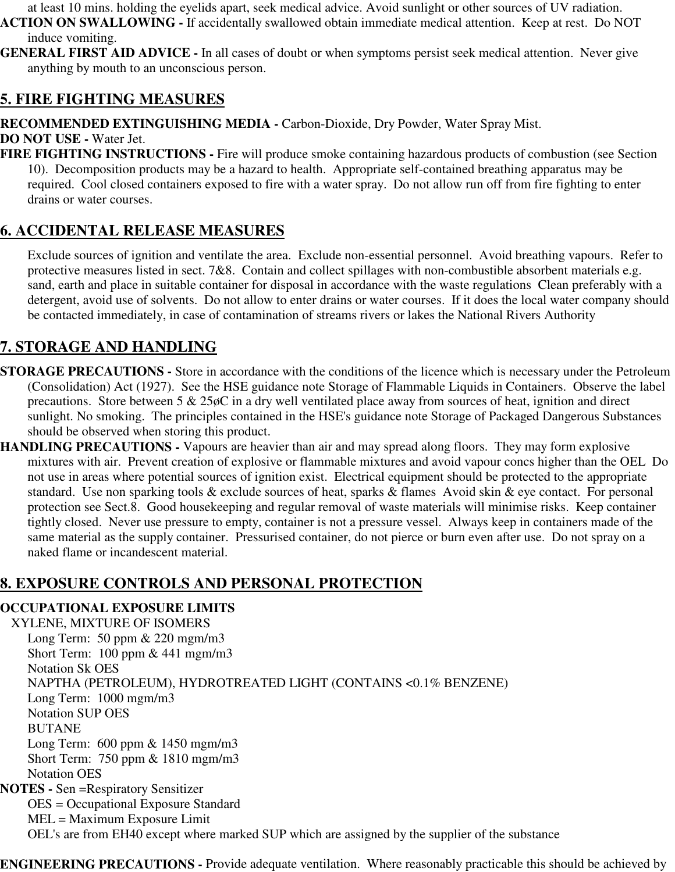at least 10 mins. holding the eyelids apart, seek medical advice. Avoid sunlight or other sources of UV radiation.

**ACTION ON SWALLOWING -** If accidentally swallowed obtain immediate medical attention. Keep at rest. Do NOT induce vomiting.

**GENERAL FIRST AID ADVICE -** In all cases of doubt or when symptoms persist seek medical attention. Never give anything by mouth to an unconscious person.

### **5. FIRE FIGHTING MEASURES**

**RECOMMENDED EXTINGUISHING MEDIA -** Carbon-Dioxide, Dry Powder, Water Spray Mist.

**DO NOT USE -** Water Jet.

**FIRE FIGHTING INSTRUCTIONS -** Fire will produce smoke containing hazardous products of combustion (see Section 10). Decomposition products may be a hazard to health. Appropriate self-contained breathing apparatus may be required. Cool closed containers exposed to fire with a water spray. Do not allow run off from fire fighting to enter drains or water courses.

## **6. ACCIDENTAL RELEASE MEASURES**

Exclude sources of ignition and ventilate the area. Exclude non-essential personnel. Avoid breathing vapours. Refer to protective measures listed in sect. 7&8. Contain and collect spillages with non-combustible absorbent materials e.g. sand, earth and place in suitable container for disposal in accordance with the waste regulations Clean preferably with a detergent, avoid use of solvents. Do not allow to enter drains or water courses. If it does the local water company should be contacted immediately, in case of contamination of streams rivers or lakes the National Rivers Authority

# **7. STORAGE AND HANDLING**

- **STORAGE PRECAUTIONS** Store in accordance with the conditions of the licence which is necessary under the Petroleum (Consolidation) Act (1927). See the HSE guidance note Storage of Flammable Liquids in Containers. Observe the label precautions. Store between 5 & 25øC in a dry well ventilated place away from sources of heat, ignition and direct sunlight. No smoking. The principles contained in the HSE's guidance note Storage of Packaged Dangerous Substances should be observed when storing this product.
- **HANDLING PRECAUTIONS** Vapours are heavier than air and may spread along floors. They may form explosive mixtures with air. Prevent creation of explosive or flammable mixtures and avoid vapour concs higher than the OEL Do not use in areas where potential sources of ignition exist. Electrical equipment should be protected to the appropriate standard. Use non sparking tools & exclude sources of heat, sparks & flames Avoid skin & eye contact. For personal protection see Sect.8. Good housekeeping and regular removal of waste materials will minimise risks. Keep container tightly closed. Never use pressure to empty, container is not a pressure vessel. Always keep in containers made of the same material as the supply container. Pressurised container, do not pierce or burn even after use. Do not spray on a naked flame or incandescent material.

# **8. EXPOSURE CONTROLS AND PERSONAL PROTECTION**

#### **OCCUPATIONAL EXPOSURE LIMITS**

XYLENE, MIXTURE OF ISOMERS Long Term: 50 ppm & 220 mgm/m3 Short Term: 100 ppm & 441 mgm/m3 Notation Sk OES NAPTHA (PETROLEUM), HYDROTREATED LIGHT (CONTAINS <0.1% BENZENE) Long Term: 1000 mgm/m3 Notation SUP OES BUTANE Long Term: 600 ppm & 1450 mgm/m3 Short Term: 750 ppm & 1810 mgm/m3 Notation OES **NOTES -** Sen =Respiratory Sensitizer OES = Occupational Exposure Standard MEL = Maximum Exposure Limit OEL's are from EH40 except where marked SUP which are assigned by the supplier of the substance

**ENGINEERING PRECAUTIONS -** Provide adequate ventilation. Where reasonably practicable this should be achieved by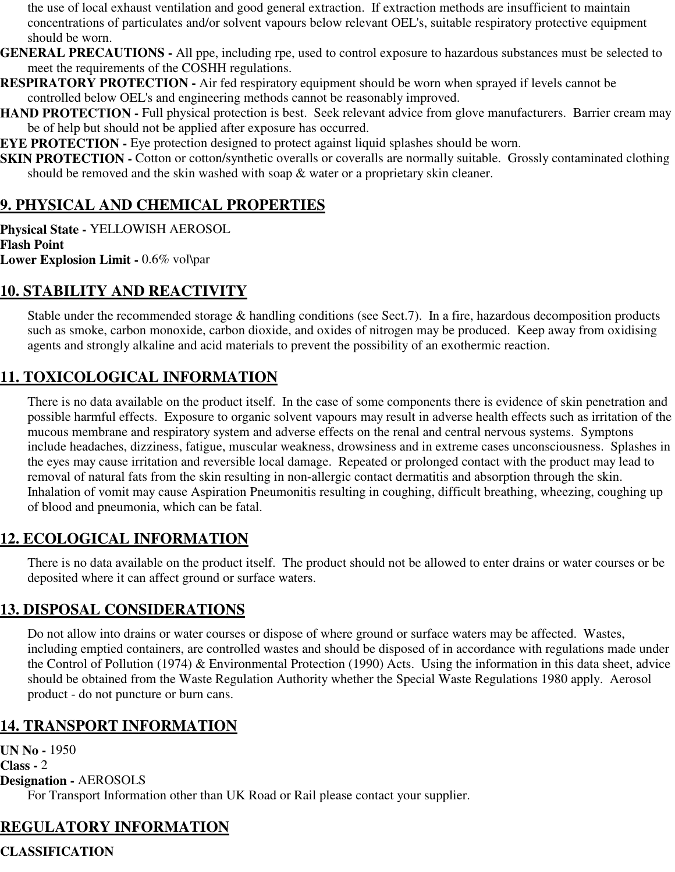the use of local exhaust ventilation and good general extraction. If extraction methods are insufficient to maintain concentrations of particulates and/or solvent vapours below relevant OEL's, suitable respiratory protective equipment should be worn.

- **GENERAL PRECAUTIONS** All ppe, including rpe, used to control exposure to hazardous substances must be selected to meet the requirements of the COSHH regulations.
- **RESPIRATORY PROTECTION** Air fed respiratory equipment should be worn when sprayed if levels cannot be controlled below OEL's and engineering methods cannot be reasonably improved.
- **HAND PROTECTION Full physical protection is best. Seek relevant advice from glove manufacturers. Barrier cream may** be of help but should not be applied after exposure has occurred.

**EYE PROTECTION -** Eye protection designed to protect against liquid splashes should be worn.

**SKIN PROTECTION -** Cotton or cotton/synthetic overalls or coveralls are normally suitable. Grossly contaminated clothing should be removed and the skin washed with soap & water or a proprietary skin cleaner.

# **9. PHYSICAL AND CHEMICAL PROPERTIES**

**Physical State -** YELLOWISH AEROSOL **Flash Point Lower Explosion Limit -** 0.6% vol\par

# **10. STABILITY AND REACTIVITY**

Stable under the recommended storage & handling conditions (see Sect.7). In a fire, hazardous decomposition products such as smoke, carbon monoxide, carbon dioxide, and oxides of nitrogen may be produced. Keep away from oxidising agents and strongly alkaline and acid materials to prevent the possibility of an exothermic reaction.

# **11. TOXICOLOGICAL INFORMATION**

There is no data available on the product itself. In the case of some components there is evidence of skin penetration and possible harmful effects. Exposure to organic solvent vapours may result in adverse health effects such as irritation of the mucous membrane and respiratory system and adverse effects on the renal and central nervous systems. Symptons include headaches, dizziness, fatigue, muscular weakness, drowsiness and in extreme cases unconsciousness. Splashes in the eyes may cause irritation and reversible local damage. Repeated or prolonged contact with the product may lead to removal of natural fats from the skin resulting in non-allergic contact dermatitis and absorption through the skin. Inhalation of vomit may cause Aspiration Pneumonitis resulting in coughing, difficult breathing, wheezing, coughing up of blood and pneumonia, which can be fatal.

# **12. ECOLOGICAL INFORMATION**

There is no data available on the product itself. The product should not be allowed to enter drains or water courses or be deposited where it can affect ground or surface waters.

## **13. DISPOSAL CONSIDERATIONS**

Do not allow into drains or water courses or dispose of where ground or surface waters may be affected. Wastes, including emptied containers, are controlled wastes and should be disposed of in accordance with regulations made under the Control of Pollution (1974) & Environmental Protection (1990) Acts. Using the information in this data sheet, advice should be obtained from the Waste Regulation Authority whether the Special Waste Regulations 1980 apply. Aerosol product - do not puncture or burn cans.

# **14. TRANSPORT INFORMATION**

**UN No -** 1950 **Class -** 2 **Designation -** AEROSOLS For Transport Information other than UK Road or Rail please contact your supplier.

# **REGULATORY INFORMATION**

**CLASSIFICATION**